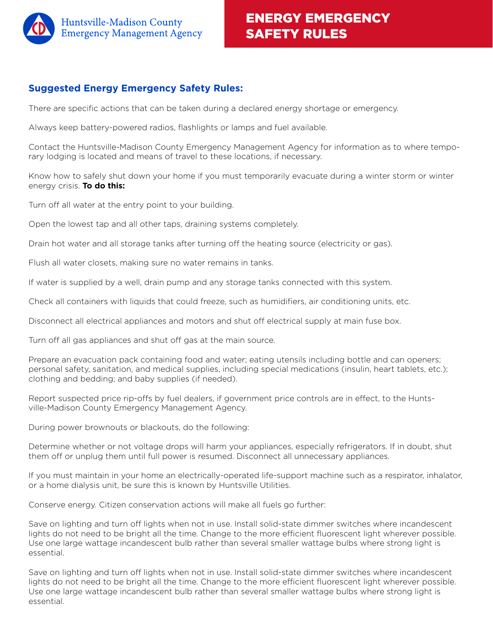

## **Suggested Energy Emergency Safety Rules:**

There are specific actions that can be taken during a declared energy shortage or emergency.

Always keep battery-powered radios, flashlights or lamps and fuel available.

Contact the Huntsville-Madison County Emergency Management Agency for information as to where temporary lodging is located and means of travel to these locations, if necessary.

Know how to safely shut down your home if you must temporarily evacuate during a winter storm or winter energy crisis. **To do this:**

Turn off all water at the entry point to your building.

Open the lowest tap and all other taps, draining systems completely.

Drain hot water and all storage tanks after turning off the heating source (electricity or gas).

Flush all water closets, making sure no water remains in tanks.

If water is supplied by a well, drain pump and any storage tanks connected with this system.

Check all containers with liquids that could freeze, such as humidifiers, air conditioning units, etc.

Disconnect all electrical appliances and motors and shut off electrical supply at main fuse box.

Turn off all gas appliances and shut off gas at the main source.

Prepare an evacuation pack containing food and water; eating utensils including bottle and can openers; personal safety, sanitation, and medical supplies, including special medications (insulin, heart tablets, etc.); clothing and bedding; and baby supplies (if needed).

Report suspected price rip-offs by fuel dealers, if government price controls are in effect, to the Huntsville-Madison County Emergency Management Agency.

During power brownouts or blackouts, do the following:

Determine whether or not voltage drops will harm your appliances, especially refrigerators. If in doubt, shut them off or unplug them until full power is resumed. Disconnect all unnecessary appliances.

If you must maintain in your home an electrically-operated life-support machine such as a respirator, inhalator, or a home dialysis unit, be sure this is known by Huntsville Utilities.

Conserve energy. Citizen conservation actions will make all fuels go further:

Save on lighting and turn off lights when not in use. Install solid-state dimmer switches where incandescent lights do not need to be bright all the time. Change to the more efficient fluorescent light wherever possible. Use one large wattage incandescent bulb rather than several smaller wattage bulbs where strong light is essential.

Save on lighting and turn off lights when not in use. Install solid-state dimmer switches where incandescent lights do not need to be bright all the time. Change to the more efficient fluorescent light wherever possible. Use one large wattage incandescent bulb rather than several smaller wattage bulbs where strong light is essential.